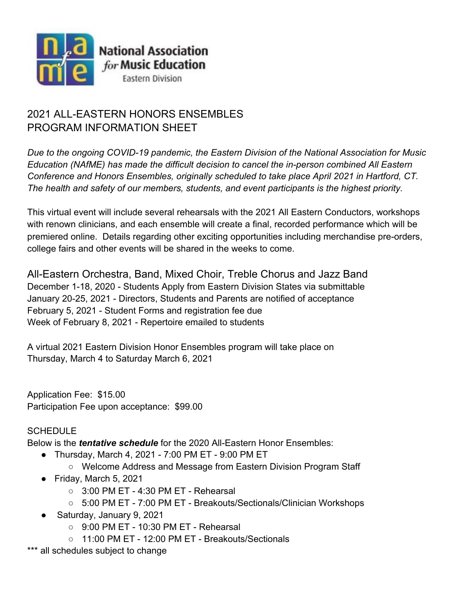

# 2021 ALL-EASTERN HONORS ENSEMBLES PROGRAM INFORMATION SHEET

*Due to the ongoing COVID-19 pandemic, the Eastern Division of the National Association for Music Education (NAfME) has made the difficult decision to cancel the in-person combined All Eastern Conference and Honors Ensembles, originally scheduled to take place April 2021 in Hartford, CT. The health and safety of our members, students, and event participants is the highest priority.*

This virtual event will include several rehearsals with the 2021 All Eastern Conductors, workshops with renown clinicians, and each ensemble will create a final, recorded performance which will be premiered online. Details regarding other exciting opportunities including merchandise pre-orders, college fairs and other events will be shared in the weeks to come.

All-Eastern Orchestra, Band, Mixed Choir, Treble Chorus and Jazz Band December 1-18, 2020 - Students Apply from Eastern Division States via submittable January 20-25, 2021 - Directors, Students and Parents are notified of acceptance February 5, 2021 - Student Forms and registration fee due Week of February 8, 2021 - Repertoire emailed to students

A virtual 2021 Eastern Division Honor Ensembles program will take place on Thursday, March 4 to Saturday March 6, 2021

Application Fee: \$15.00 Participation Fee upon acceptance: \$99.00

## **SCHEDULE**

Below is the *tentative schedule* for the 2020 All-Eastern Honor Ensembles:

- Thursday, March 4, 2021 7:00 PM ET 9:00 PM ET
	- Welcome Address and Message from Eastern Division Program Staff
- Friday, March 5, 2021
	- $\circ$  3:00 PM ET 4:30 PM ET Rehearsal
	- 5:00 PM ET 7:00 PM ET Breakouts/Sectionals/Clinician Workshops
- Saturday, January 9, 2021
	- 9:00 PM ET 10:30 PM ET Rehearsal
	- 11:00 PM ET 12:00 PM ET Breakouts/Sectionals
- \*\*\* all schedules subject to change